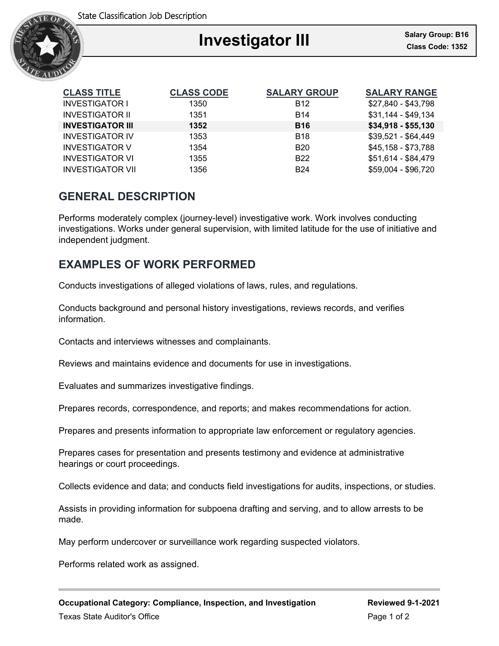

| <b>CLASS TITLE</b>      | <b>CLASS CODE</b> | <b>SALARY GROUP</b> |  |
|-------------------------|-------------------|---------------------|--|
| <b>INVESTIGATOR I</b>   | 1350              | <b>B12</b>          |  |
| <b>INVESTIGATOR II</b>  | 1351              | <b>B14</b>          |  |
| <b>INVESTIGATOR III</b> | 1352              | <b>B16</b>          |  |
| <b>INVESTIGATOR IV</b>  | 1353              | B18                 |  |

**CLASS TITLE CLASS CODE SALARY GROUP SALARY RANGE** \$27,840 - \$43,798  $$31,144 - $49,134$ **INVESTIGATOR III 1352 B16 \$34,918 - \$55,130**  $$39,521 - $64,449$ INVESTIGATOR V 1354 B20 \$45,158 - \$73,788 INVESTIGATOR VI 1355 B22 \$51,614 - \$84,479 INVESTIGATOR VII 1356 B24 \$59,004 - \$96,720

# **GENERAL DESCRIPTION**

Performs moderately complex (journey-level) investigative work. Work involves conducting investigations. Works under general supervision, with limited latitude for the use of initiative and independent judgment.

# **EXAMPLES OF WORK PERFORMED**

Conducts investigations of alleged violations of laws, rules, and regulations.

Conducts background and personal history investigations, reviews records, and verifies information.

Contacts and interviews witnesses and complainants.

Reviews and maintains evidence and documents for use in investigations.

Evaluates and summarizes investigative findings.

Prepares records, correspondence, and reports; and makes recommendations for action.

Prepares and presents information to appropriate law enforcement or regulatory agencies.

Prepares cases for presentation and presents testimony and evidence at administrative hearings or court proceedings.

Collects evidence and data; and conducts field investigations for audits, inspections, or studies.

Assists in providing information for subpoena drafting and serving, and to allow arrests to be made.

May perform undercover or surveillance work regarding suspected violators.

Performs related work as assigned.